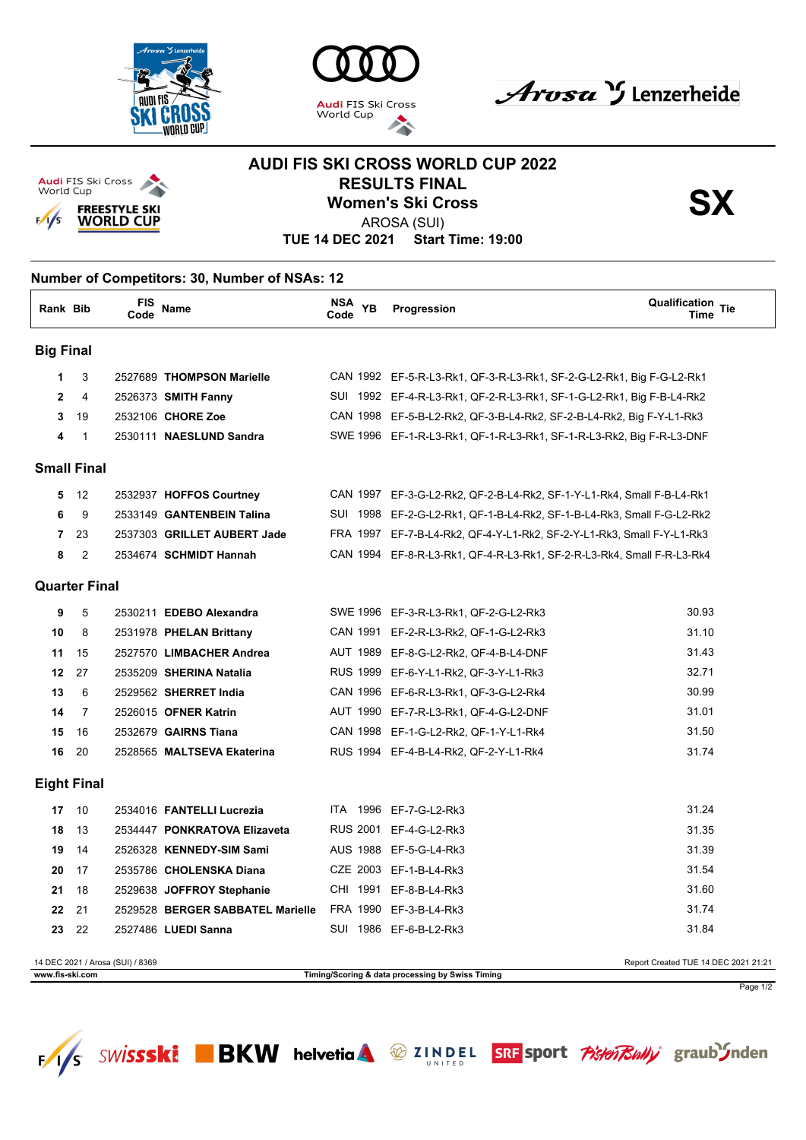







## **AUDI FIS SKI CROSS WORLD CUP 2022 RESULTS FINAL<br>Women's Ski Cross<br>APOSA (SLII)**



AROSA (SUI)

**TUE 14 DEC 2021 Start Time: 19:00**

## **Number of Competitors: 30, Number of NSAs: 12 Rank Bib FIS Code Name NSA Code YB Qualification Time Progression Tie Big Final** 3 2527689 **THOMPSON Marielle** CAN 1992 EF-5-R-L3-Rk1, QF-3-R-L3-Rk1, SF-2-G-L2-Rk1, Big F-G-L2-Rk1 4 2526373 **SMITH Fanny** SUI 1992 EF-4-R-L3-Rk1, QF-2-R-L3-Rk1, SF-1-G-L2-Rk1, Big F-B-L4-Rk2 19 2532106 **CHORE Zoe** CAN 1998 EF-5-B-L2-Rk2, QF-3-B-L4-Rk2, SF-2-B-L4-Rk2, Big F-Y-L1-Rk3 1 2530111 **NAESLUND Sandra** SWE 1996 EF-1-R-L3-Rk1, QF-1-R-L3-Rk1, SF-1-R-L3-Rk2, Big F-R-L3-DNF **Small Final** 12 2532937 **HOFFOS Courtney** CAN 1997 EF-3-G-L2-Rk2, QF-2-B-L4-Rk2, SF-1-Y-L1-Rk4, Small F-B-L4-Rk1 9 2533149 **GANTENBEIN Talina** SUI 1998 EF-2-G-L2-Rk1, QF-1-B-L4-Rk2, SF-1-B-L4-Rk3, Small F-G-L2-Rk2 23 2537303 **GRILLET AUBERT Jade** FRA 1997 EF-7-B-L4-Rk2, QF-4-Y-L1-Rk2, SF-2-Y-L1-Rk3, Small F-Y-L1-Rk3 2 2534674 **SCHMIDT Hannah** CAN 1994 EF-8-R-L3-Rk1, QF-4-R-L3-Rk1, SF-2-R-L3-Rk4, Small F-R-L3-Rk4 **Quarter Final** 5 2530211 **EDEBO Alexandra** SWE 1996 EF-3-R-L3-Rk1, QF-2-G-L2-Rk3 30.93 8 2531978 **PHELAN Brittany** CAN 1991 EF-2-R-L3-Rk2, QF-1-G-L2-Rk3 31.10 15 2527570 **LIMBACHER Andrea** AUT 1989 EF-8-G-L2-Rk2, QF-4-B-L4-DNF 31.43 27 2535209 **SHERINA Natalia** RUS 1999 EF-6-Y-L1-Rk2, QF-3-Y-L1-Rk3 32.71 6 2529562 **SHERRET India** CAN 1996 EF-6-R-L3-Rk1, QF-3-G-L2-Rk4 30.99 7 2526015 **OFNER Katrin** AUT 1990 EF-7-R-L3-Rk1, QF-4-G-L2-DNF 31.01 16 2532679 **GAIRNS Tiana** CAN 1998 EF-1-G-L2-Rk2, QF-1-Y-L1-Rk4 31.50 20 2528565 **MALTSEVA Ekaterina** RUS 1994 EF-4-B-L4-Rk2, QF-2-Y-L1-Rk4 31.74 **Eight Final** 10 2534016 **FANTELLI Lucrezia** ITA 1996 EF-7-G-L2-Rk3 31.24 13 2534447 **PONKRATOVA Elizaveta** RUS 2001 EF-4-G-L2-Rk3 31.35 14 2526328 **KENNEDY-SIM Sami** AUS 1988 EF-5-G-L4-Rk3 31.39 17 2535786 **CHOLENSKA Diana** CZE 2003 EF-1-B-L4-Rk3 31.54 18 2529638 **JOFFROY Stephanie** CHI 1991 EF-8-B-L4-Rk3 31.60 21 2529528 **BERGER SABBATEL Marielle** FRA 1990 EF-3-B-L4-Rk3 31.74 22 2527486 **LUEDI Sanna** SUI 1986 EF-6-B-L2-Rk3 31.84